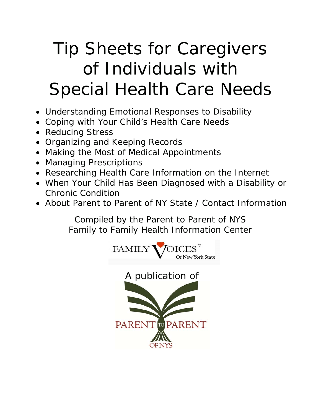# Tip Sheets for Caregivers of Individuals with Special Health Care Needs

- Understanding Emotional Responses to Disability
- Coping with Your Child's Health Care Needs
- Reducing Stress
- Organizing and Keeping Records
- Making the Most of Medical Appointments
- Managing Prescriptions
- Researching Health Care Information on the Internet
- When Your Child Has Been Diagnosed with a Disability or Chronic Condition
- About Parent to Parent of NY State / Contact Information

*Compiled by the Parent to Parent of NYS Family to Family Health Information Center* 

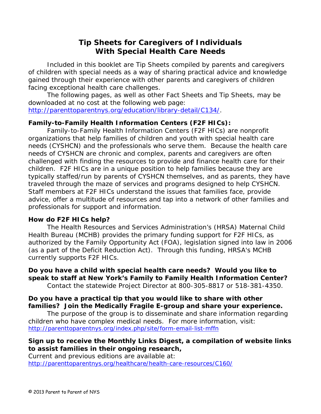### **Tip Sheets for Caregivers of Individuals With Special Health Care Needs**

Included in this booklet are Tip Sheets compiled by parents and caregivers of children with special needs as a way of sharing practical advice and knowledge gained through their experience with other parents and caregivers of children facing exceptional health care challenges.

The following pages, as well as other Fact Sheets and Tip Sheets, may be downloaded at no cost at the following web page:

http://parenttoparentnys.org/education/library-detail/C134/.

### **Family-to-Family Health Information Centers (F2F HICs):**

Family-to-Family Health Information Centers (F2F HICs) are nonprofit organizations that help families of children and youth with special health care needs (CYSHCN) and the professionals who serve them. Because the health care needs of CYSHCN are chronic and complex, parents and caregivers are often challenged with finding the resources to provide and finance health care for their children. F2F HICs are in a unique position to help families because they are typically staffed/run by parents of CYSHCN themselves, and as parents, they have traveled through the maze of services and programs designed to help CYSHCN. Staff members at F2F HICs understand the issues that families face, provide advice, offer a multitude of resources and tap into a network of other families and professionals for support and information.

### **How do F2F HICs help?**

The Health Resources and Services Administration's (HRSA) Maternal Child Health Bureau (MCHB) provides the primary funding support for F2F HICs, as authorized by the Family Opportunity Act (FOA), legislation signed into law in 2006 (as a part of the Deficit Reduction Act). Through this funding, HRSA's MCHB currently supports F2F HICs.

**Do you have a child with special health care needs? Would you like to speak to staff at New York's Family to Family Health Information Center?**  Contact the statewide Project Director at 800-305-8817 or 518-381-4350.

### **Do you have a practical tip that you would like to share with other families? Join the Medically Fragile E-group and share your experience.**

The purpose of the group is to disseminate and share information regarding children who have complex medical needs. For more information, visit: http://parenttoparentnys.org/index.php/site/form-email-list-mffn

### **Sign up to receive the Monthly Links Digest, a compilation of website links to assist families in their ongoing research,**

Current and previous editions are available at: http://parenttoparentnys.org/healthcare/health-care-resources/C160/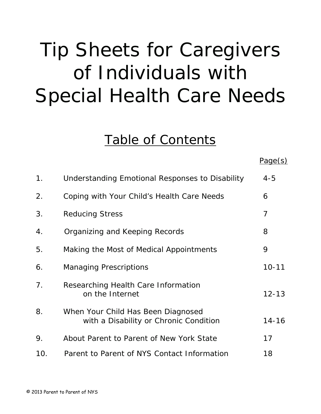# Tip Sheets for Caregivers of Individuals with Special Health Care Needs

### Table of Contents

|     |                                                                              | Page(s)        |
|-----|------------------------------------------------------------------------------|----------------|
| 1.  | Understanding Emotional Responses to Disability                              | $4 - 5$        |
| 2.  | Coping with Your Child's Health Care Needs                                   | 6              |
| 3.  | <b>Reducing Stress</b>                                                       | $\overline{7}$ |
| 4.  | Organizing and Keeping Records                                               | 8              |
| 5.  | Making the Most of Medical Appointments                                      | 9              |
| 6.  | <b>Managing Prescriptions</b>                                                | $10 - 11$      |
| 7.  | Researching Health Care Information<br>on the Internet                       | $12 - 13$      |
| 8.  | When Your Child Has Been Diagnosed<br>with a Disability or Chronic Condition | $14 - 16$      |
| 9.  | About Parent to Parent of New York State                                     | 17             |
| 10. | Parent to Parent of NYS Contact Information                                  | 18             |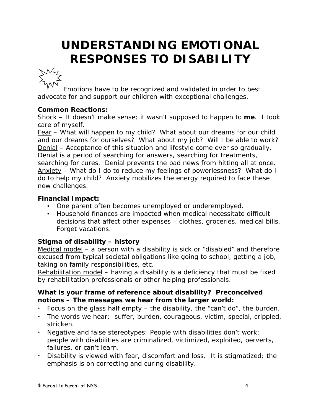# **UNDERSTANDING EMOTIONAL RESPONSES TO DISABILITY**



Emotions have to be recognized and validated in order to best advocate for and support our children with exceptional challenges.

### **Common Reactions:**

Shock – It doesn't make sense; it wasn't supposed to happen to **me**. I took care of myself.

Fear – What will happen to my child? What about our dreams for our child and our dreams for ourselves? What about my job? Will I be able to work? Denial – Acceptance of this situation and lifestyle come ever so gradually. Denial is a period of searching for answers, searching for treatments, searching for cures. Denial prevents the bad news from hitting all at once. Anxiety – What do I do to reduce my feelings of powerlessness? What do I do to help my child? Anxiety mobilizes the energy required to face these new challenges.

### **Financial Impact:**

- One parent often becomes unemployed or underemployed.
- Household finances are impacted when medical necessitate difficult decisions that affect other expenses – clothes, groceries, medical bills. Forget vacations.

### **Stigma of disability – history**

Medical model – a person with a disability is sick or "disabled" and therefore excused from typical societal obligations like going to school, getting a job, taking on family responsibilities, etc.

Rehabilitation model – having a disability is a deficiency that must be fixed by rehabilitation professionals or other helping professionals.

### **What is your frame of reference about disability? Preconceived notions – The messages we hear from the larger world:**

- Focus on the glass half empty the disability, the "can't do", the burden.
- The words we hear: suffer, burden, courageous, victim, special, crippled, stricken.
- Negative and false stereotypes: People with disabilities don't work; people with disabilities are criminalized, victimized, exploited, perverts, failures, or can't learn.
- Disability is viewed with fear, discomfort and loss. It is stigmatized; the emphasis is on correcting and curing disability.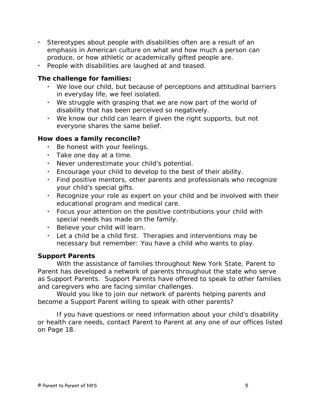- Stereotypes about people with disabilities often are a result of an emphasis in American culture on what and how much a person can produce, or how athletic or academically gifted people are.
- People with disabilities are laughed at and teased.

#### **The challenge for families:**

- We love our child, but because of perceptions and attitudinal barriers in everyday life, we feel isolated.
- We struggle with grasping that we are now part of the world of disability that has been perceived so negatively.
- We know our child can learn if given the right supports, but not everyone shares the same belief.

#### **How does a family reconcile?**

- Be honest with your feelings.
- Take one day at a time.
- Never underestimate your child's potential.
- Encourage your child to develop to the best of their ability.
- Find positive mentors, other parents and professionals who recognize your child's special gifts.
- Recognize your role as expert on your child and be involved with their educational program and medical care.
- Focus your attention on the positive contributions your child with special needs has made on the family.
- Believe your child will learn.
- Let a child be a child first. Therapies and interventions may be necessary but remember: You have a child who wants to play.

### **Support Parents**

With the assistance of families throughout New York State, Parent to Parent has developed a network of parents throughout the state who serve as Support Parents. Support Parents have offered to speak to other families and caregivers who are facing similar challenges.

Would you like to join our network of parents helping parents and become a Support Parent willing to speak with other parents?

If you have questions or need information about your child's disability or health care needs, contact Parent to Parent at any one of our offices listed on Page 18.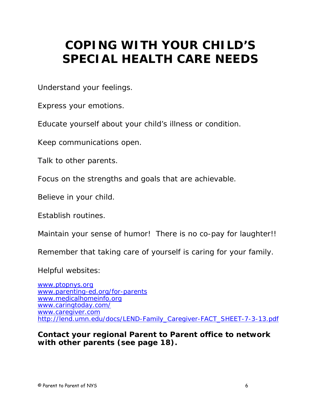## **COPING WITH YOUR CHILD'S SPECIAL HEALTH CARE NEEDS**

Understand your feelings.

Express your emotions.

Educate yourself about your child's illness or condition.

Keep communications open.

Talk to other parents.

Focus on the strengths and goals that are achievable.

Believe in your child.

Establish routines.

Maintain your sense of humor! There is no co-pay for laughter!!

Remember that taking care of yourself is caring for your family.

Helpful websites:

www.ptopnys.org www.parenting-ed.org/for-parents www.medicalhomeinfo.org www.caringtoday.com/ www.caregiver.com http://lend.umn.edu/docs/LEND-Family\_Caregiver-FACT\_SHEET-7-3-13.pdf

*Contact your regional Parent to Parent office to network with other parents (see page 18).*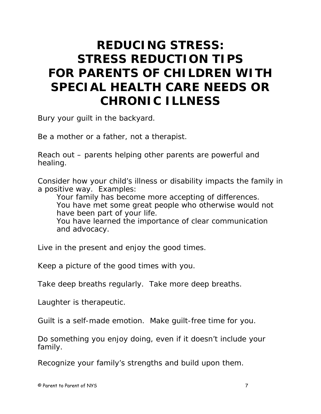## **REDUCING STRESS: STRESS REDUCTION TIPS FOR PARENTS OF CHILDREN WITH SPECIAL HEALTH CARE NEEDS OR CHRONIC ILLNESS**

Bury your guilt in the backyard.

Be a mother or a father, not a therapist.

Reach out – parents helping other parents are powerful and healing.

Consider how your child's illness or disability impacts the family in a positive way. Examples:

Your family has become more accepting of differences. You have met some great people who otherwise would not have been part of your life. You have learned the importance of clear communication and advocacy.

Live in the present and enjoy the good times.

Keep a picture of the good times with you.

Take deep breaths regularly. Take more deep breaths.

Laughter is therapeutic.

Guilt is a self-made emotion. Make guilt-free time for you.

Do something you enjoy doing, even if it doesn't include your family.

Recognize your family's strengths and build upon them.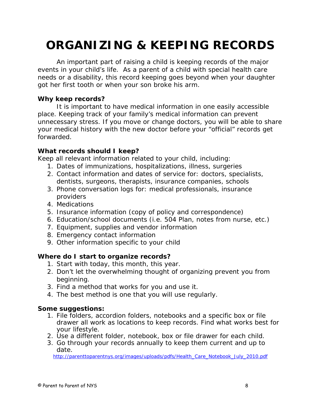# **ORGANIZING & KEEPING RECORDS**

 An important part of raising a child is keeping records of the major events in your child's life. As a parent of a child with special health care needs or a disability, this record keeping goes beyond when your daughter got her first tooth or when your son broke his arm.

### **Why keep records?**

It is important to have medical information in one easily accessible place. Keeping track of your family's medical information can prevent unnecessary stress. If you move or change doctors, you will be able to share your medical history with the new doctor before your "official" records get forwarded.

### **What records should I keep?**

Keep all relevant information related to your child, including:

- 1. Dates of immunizations, hospitalizations, illness, surgeries
- 2. Contact information and dates of service for: doctors, specialists, dentists, surgeons, therapists, insurance companies, schools
- 3. Phone conversation logs for: medical professionals, insurance providers
- 4. Medications
- 5. Insurance information (copy of policy and correspondence)
- 6. Education/school documents (i.e. 504 Plan, notes from nurse, etc.)
- 7. Equipment, supplies and vendor information
- 8. Emergency contact information
- 9. Other information specific to your child

### **Where do I start to organize records?**

- 1. Start with today, this month, this year.
- 2. Don't let the overwhelming thought of organizing prevent you from beginning.
- 3. Find a method that works for you and use it.
- 4. The best method is one that you will use regularly.

### **Some suggestions:**

- 1. File folders, accordion folders, notebooks and a specific box or file drawer all work as locations to keep records. Find what works best for your lifestyle.
- 2. Use a different folder, notebook, box or file drawer for each child.
- 3. Go through your records annually to keep them current and up to date.

http://parenttoparentnys.org/images/uploads/pdfs/Health\_Care\_Notebook\_July\_2010.pdf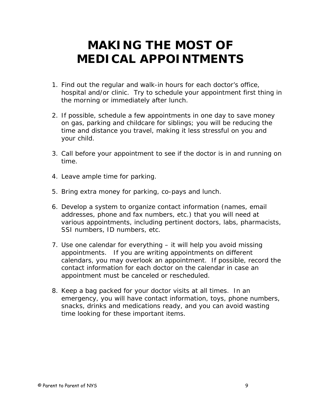### **MAKING THE MOST OF MEDICAL APPOINTMENTS**

- 1. Find out the regular and walk-in hours for each doctor's office, hospital and/or clinic. Try to schedule your appointment first thing in the morning or immediately after lunch.
- 2. If possible, schedule a few appointments in one day to save money on gas, parking and childcare for siblings; you will be reducing the time and distance you travel, making it less stressful on you and your child.
- 3. Call before your appointment to see if the doctor is in and running on time.
- 4. Leave ample time for parking.
- 5. Bring extra money for parking, co-pays and lunch.
- 6. Develop a system to organize contact information (names, email addresses, phone and fax numbers, etc.) that you will need at various appointments, including pertinent doctors, labs, pharmacists, SSI numbers, ID numbers, etc.
- 7. Use one calendar for everything it will help you avoid missing appointments. If you are writing appointments on different calendars, you may overlook an appointment. If possible, record the contact information for each doctor on the calendar in case an appointment must be canceled or rescheduled.
- 8. Keep a bag packed for your doctor visits *at all times*. In an emergency, you will have contact information, toys, phone numbers, snacks, drinks and medications ready, and you can avoid wasting time looking for these important items.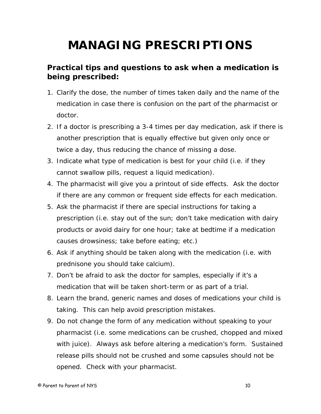# **MANAGING PRESCRIPTIONS**

### **Practical tips and questions to ask when a medication is being prescribed:**

- 1. Clarify the dose, the number of times taken daily and the name of the medication in case there is confusion on the part of the pharmacist or doctor.
- 2. If a doctor is prescribing a 3-4 times per day medication, ask if there is another prescription that is equally effective but given only once or twice a day, thus reducing the chance of missing a dose.
- 3. Indicate what type of medication is best for your child (i.e. if they cannot swallow pills, request a liquid medication).
- 4. The pharmacist will give you a printout of side effects. Ask the doctor if there are any common or frequent side effects for each medication.
- 5. Ask the pharmacist if there are special instructions for taking a prescription (i.e. stay out of the sun; don't take medication with dairy products or avoid dairy for one hour; take at bedtime if a medication causes drowsiness; take before eating; etc.)
- 6. Ask if anything should be taken along with the medication (i.e. with prednisone you should take calcium).
- 7. Don't be afraid to ask the doctor for samples, especially if it's a medication that will be taken short-term or as part of a trial.
- 8. Learn the brand, generic names and doses of medications your child is taking. This can help avoid prescription mistakes.
- 9. Do not change the form of any medication without speaking to your pharmacist (i.e. some medications can be crushed, chopped and mixed with juice). Always ask before altering a medication's form. Sustained release pills should not be crushed and some capsules should not be opened. Check with your pharmacist.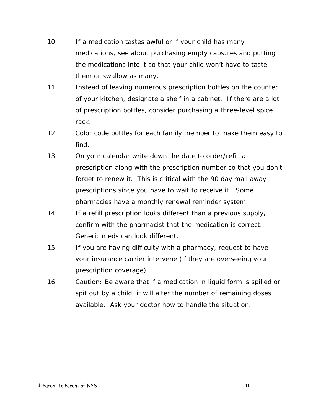- 10. If a medication tastes awful or if your child has many medications, see about purchasing empty capsules and putting the medications into it so that your child won't have to taste them or swallow as many.
- 11. Instead of leaving numerous prescription bottles on the counter of your kitchen, designate a shelf in a cabinet. If there are a lot of prescription bottles, consider purchasing a three-level spice rack.
- 12. Color code bottles for each family member to make them easy to find.
- 13. On your calendar write down the date to order/refill a prescription along with the prescription number so that you don't forget to renew it. This is critical with the 90 day mail away prescriptions since you have to wait to receive it. Some pharmacies have a monthly renewal reminder system.
- 14. If a refill prescription looks different than a previous supply, confirm with the pharmacist that the medication is correct. Generic meds can look different.
- 15. If you are having difficulty with a pharmacy, request to have your insurance carrier intervene (if they are overseeing your prescription coverage).
- 16. Caution: Be aware that if a medication in liquid form is spilled or spit out by a child, it will alter the number of remaining doses available. Ask your doctor how to handle the situation.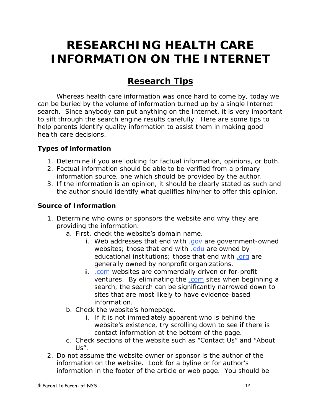## **RESEARCHING HEALTH CARE INFORMATION ON THE INTERNET**

### **Research Tips**

Whereas health care information was once hard to come by, today we can be buried by the volume of information turned up by a single Internet search. Since anybody can put anything on the Internet, it is very important to sift through the search engine results carefully. Here are some tips to help parents identify quality information to assist them in making good health care decisions.

### **Types of information**

- 1. Determine if you are looking for factual information, opinions, or both.
- 2. Factual information should be able to be verified from a primary information source, one which should be provided by the author.
- 3. If the information is an opinion, it should be clearly stated as such and the author should identify what qualifies him/her to offer this opinion.

### **Source of Information**

- 1. Determine who owns or sponsors the website and why they are providing the information.
	- a. First, check the website's domain name.
		- i. Web addresses that end with .gov are government-owned websites; those that end with .edu are owned by educational institutions; those that end with .org are generally owned by nonprofit organizations.
		- ii. .com websites are commercially driven or for-profit ventures. By eliminating the .com sites when beginning a search, the search can be significantly narrowed down to sites that are most likely to have evidence-based information.
	- b. Check the website's homepage.
		- i. If it is not immediately apparent who is behind the website's existence, try scrolling down to see if there is contact information at the bottom of the page.
	- c. Check sections of the website such as "Contact Us" and "About Us".
- 2. Do not assume the website owner or sponsor is the author of the information on the website. Look for a byline or for author's information in the footer of the article or web page. You should be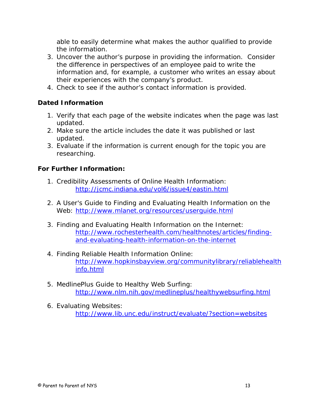able to easily determine what makes the author qualified to provide the information.

- 3. Uncover the author's purpose in providing the information. Consider the difference in perspectives of an employee paid to write the information and, for example, a customer who writes an essay about their experiences with the company's product.
- 4. Check to see if the author's contact information is provided.

### **Dated Information**

- 1. Verify that each page of the website indicates when the page was last updated.
- 2. Make sure the article includes the date it was published or last updated.
- 3. Evaluate if the information is current enough for the topic you are researching.

### **For Further Information:**

- 1. Credibility Assessments of Online Health Information: http://jcmc.indiana.edu/vol6/issue4/eastin.html
- 2. A User's Guide to Finding and Evaluating Health Information on the Web: http://www.mlanet.org/resources/userguide.html
- 3. Finding and Evaluating Health Information on the Internet: http://www.rochesterhealth.com/healthnotes/articles/findingand-evaluating-health-information-on-the-internet
- 4. Finding Reliable Health Information Online: http://www.hopkinsbayview.org/communitylibrary/reliablehealth info.html
- 5. MedlinePlus Guide to Healthy Web Surfing: http://www.nlm.nih.gov/medlineplus/healthywebsurfing.html
- 6. Evaluating Websites: http://www.lib.unc.edu/instruct/evaluate/?section=websites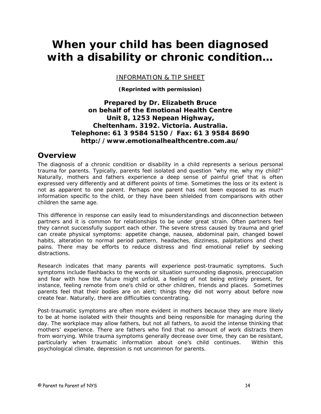### **When your child has been diagnosed with a disability or chronic condition…**

INFORMATION & TIP SHEET

**(Reprinted with permission)** 

*Prepared by Dr. Elizabeth Bruce on behalf of the Emotional Health Centre Unit 8, 1253 Nepean Highway, Cheltenham. 3192. Victoria. Australia. Telephone: 61 3 9584 5150 / Fax: 61 3 9584 8690 http://www.emotionalhealthcentre.com.au/* 

#### *Overview*

The diagnosis of a chronic condition or disability in a child represents a serious personal trauma for parents. Typically, parents feel isolated and question "why me, why my child?" Naturally, mothers and fathers experience a deep sense of painful grief that is often expressed very differently and at different points of time. Sometimes the loss or its extent is not as apparent to one parent. Perhaps one parent has not been exposed to as much information specific to the child, or they have been shielded from comparisons with other children the same age.

This difference in response can easily lead to misunderstandings and disconnection between partners and it is common for relationships to be under great strain. Often partners feel they cannot successfully support each other. The severe stress caused by trauma and grief can create physical symptoms: appetite change, nausea, abdominal pain, changed bowel habits, alteration to normal period pattern, headaches, dizziness, palpitations and chest pains. There may be efforts to reduce distress and find emotional relief by seeking distractions.

Research indicates that many parents will experience post-traumatic symptoms. Such symptoms include flashbacks to the words or situation surrounding diagnosis, preoccupation and fear with how the future might unfold, a feeling of not being entirely present, for instance, feeling remote from one's child or other children, friends and places. Sometimes parents feel that their bodies are on alert; things they did not worry about before now create fear. Naturally, there are difficulties concentrating.

Post-traumatic symptoms are often more evident in mothers because they are more likely to be at home isolated with their thoughts and being responsible for managing during the day. The workplace may allow fathers, but not all fathers, to avoid the intense thinking that mothers' experience. There are fathers who find that no amount of work distracts them from worrying. While trauma symptoms generally decrease over time, they can be resistant, particularly when traumatic information about one's child continues. Within this psychological climate, depression is not uncommon for parents.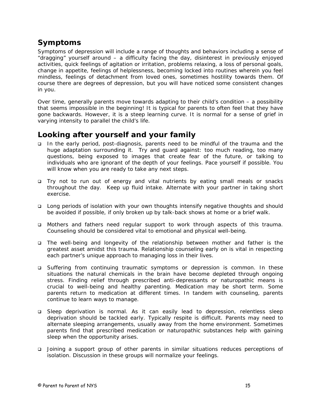### *Symptoms*

Symptoms of depression will include a range of thoughts and behaviors including a sense of "dragging" yourself around – a difficulty facing the day, disinterest in previously enjoyed activities, quick feelings of agitation or irritation, problems relaxing, a loss of personal goals, change in appetite, feelings of helplessness, becoming locked into routines wherein you feel mindless, feelings of detachment from loved ones, sometimes hostility towards them. Of course there are degrees of depression, but you will have noticed some consistent changes in you.

Over time, generally parents move towards adapting to their child's condition – a possibility that seems impossible in the beginning! It is typical for parents to often feel that they have gone backwards. However, it is a steep learning curve. It is normal for a sense of grief in varying intensity to parallel the child's life.

### *Looking after yourself and your family*

- In the early period, post-diagnosis, parents need to be mindful of the trauma and the huge adaptation surrounding it. Try and guard against: too much reading, too many questions, being exposed to images that create fear of the future, or talking to individuals who are ignorant of the depth of your feelings. Pace yourself if possible. You will know when you are ready to take any next steps.
- □ Try not to run out of energy and vital nutrients by eating small meals or snacks throughout the day. Keep up fluid intake. Alternate with your partner in taking short exercise.
- Long periods of isolation with your own thoughts intensify negative thoughts and should be avoided if possible, if only broken up by talk-back shows at home or a brief walk.
- Mothers and fathers need regular support to work through aspects of this trauma. Counseling should be considered vital to emotional and physical well-being.
- The well-being and longevity of the relationship between mother and father is the greatest asset amidst this trauma. Relationship counseling early on is vital in respecting each partner's unique approach to managing loss in their lives.
- Suffering from continuing traumatic symptoms or depression is common. In these situations the natural chemicals in the brain have become depleted through ongoing stress. Finding relief through prescribed anti-depressants or naturopathic means is crucial to well-being and healthy parenting. Medication may be short term. Some parents return to medication at different times. In tandem with counseling, parents continue to learn ways to manage.
- Sleep deprivation is normal. As it can easily lead to depression, relentless sleep deprivation should be tackled early. Typically respite is difficult. Parents may need to alternate sleeping arrangements, usually away from the home environment. Sometimes parents find that prescribed medication or naturopathic substances help with gaining sleep when the opportunity arises.
- Joining a support group of other parents in similar situations reduces perceptions of isolation. Discussion in these groups will normalize your feelings.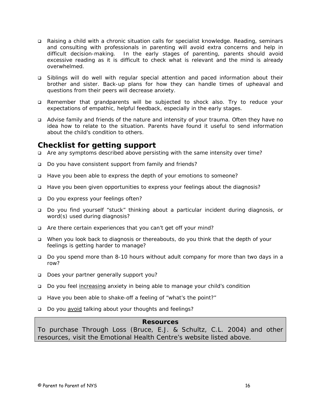- Raising a child with a chronic situation calls for specialist knowledge. Reading, seminars and consulting with professionals in parenting will avoid extra concerns and help in difficult decision-making. In the early stages of parenting, parents should avoid excessive reading as it is difficult to check what is relevant and the mind is already overwhelmed.
- Siblings will do well with regular special attention and paced information about their brother and sister. Back-up plans for how they can handle times of upheaval and questions from their peers will decrease anxiety.
- Remember that grandparents will be subjected to shock also. Try to reduce your expectations of empathic, helpful feedback, especially in the early stages.
- Advise family and friends of the nature and intensity of your trauma. Often they have no idea how to relate to the situation. Parents have found it useful to send information about the child's condition to others.

### *Checklist for getting support*

- Are any symptoms described above persisting with the same intensity over time?
- □ Do you have consistent support from family and friends?
- Have you been able to express the depth of your emotions to someone?
- □ Have you been given opportunities to express your feelings about the diagnosis?
- Do you express your feelings often?
- Do you find yourself "stuck" thinking about a particular incident during diagnosis, or word(s) used during diagnosis?
- Are there certain experiences that you can't get off your mind?
- When you look back to diagnosis or thereabouts, do you think that the depth of your feelings is getting harder to manage?
- Do you spend more than 8-10 hours without adult company for more than two days in a row?
- Does your partner generally support you?
- Do you feel increasing anxiety in being able to manage your child's condition
- Have you been able to shake-off a feeling of "what's the point?"
- Do you avoid talking about your thoughts and feelings?

#### **Resources**

To purchase *Through Loss* (Bruce, E.J. & Schultz, C.L. 2004) and other resources, visit the Emotional Health Centre's website listed above.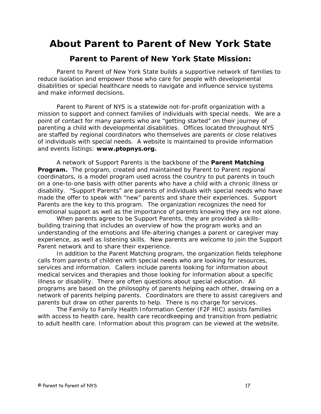### **About Parent to Parent of New York State**

### **Parent to Parent of New York State Mission:**

Parent to Parent of New York State builds a supportive network of families to reduce isolation and empower those who care for people with developmental disabilities or special healthcare needs to navigate and influence service systems and make informed decisions.

Parent to Parent of NYS is a statewide not-for-profit organization with a mission to support and connect families of individuals with special needs. We are a point of contact for many parents who are "getting started" on their journey of parenting a child with developmental disabilities. Offices located throughout NYS are staffed by regional coordinators who themselves are parents or close relatives of individuals with special needs. A website is maintained to provide information and events listings: **www.ptopnys.org.** 

A network of Support Parents is the backbone of the *Parent Matching*  **Program.** The program, created and maintained by Parent to Parent regional coordinators, is a model program used across the country to put parents in touch on a one-to-one basis with other parents who have a child with a chronic illness or disability. "Support Parents" are parents of individuals with special needs who have made the offer to speak with "new" parents and share their experiences. Support Parents are the key to this program. The organization recognizes the need for emotional support as well as the importance of parents knowing they are not alone.

When parents agree to be Support Parents, they are provided a skillsbuilding training that includes an overview of how the program works and an understanding of the emotions and life-altering changes a parent or caregiver may experience, as well as listening skills. New parents are welcome to join the Support Parent network and to share their experience.

In addition to the Parent Matching program, the organization fields telephone calls from parents of children with special needs who are looking for resources, services and information. Callers include parents looking for information about medical services and therapies and those looking for information about a specific illness or disability. There are often questions about special education. All programs are based on the philosophy of parents helping each other, drawing on a network of parents helping parents. Coordinators are there to assist caregivers and parents but draw on other parents to help. There is no charge for services.

The Family to Family Health Information Center (F2F HIC) assists families with access to health care, health care recordkeeping and transition from pediatric to adult health care. Information about this program can be viewed at the website.